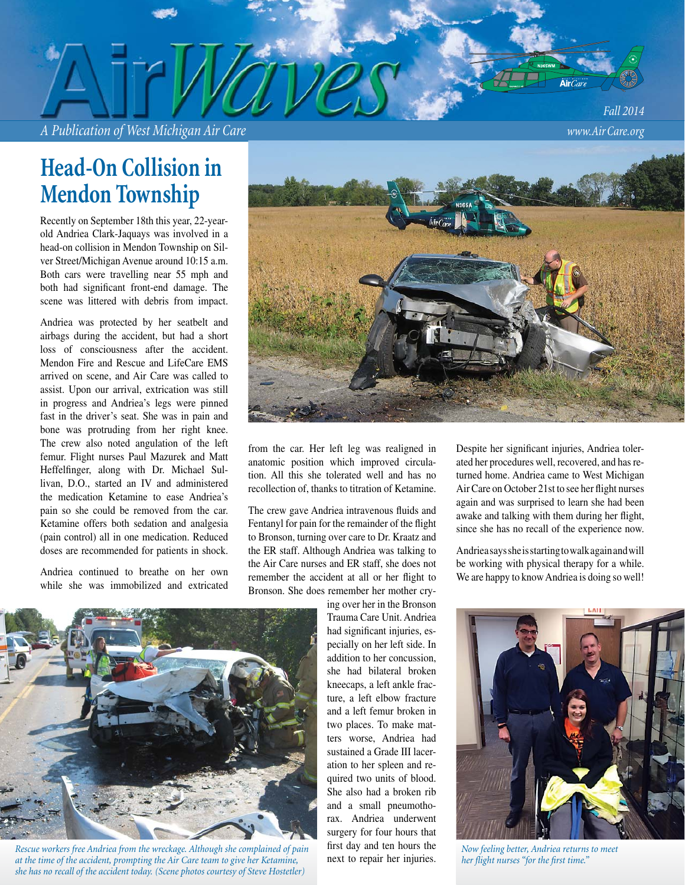*A Publication of West Michigan Air Care www.Air Care.org*

*Fall 2014*

## **Head-On Collision in Mendon Township**

Recently on September 18th this year, 22-yearold Andriea Clark-Jaquays was involved in a head-on collision in Mendon Township on Silver Street/Michigan Avenue around 10:15 a.m. Both cars were travelling near 55 mph and both had significant front-end damage. The scene was littered with debris from impact.

Andriea was protected by her seatbelt and airbags during the accident, but had a short loss of consciousness after the accident. Mendon Fire and Rescue and LifeCare EMS arrived on scene, and Air Care was called to assist. Upon our arrival, extrication was still in progress and Andriea's legs were pinned fast in the driver's seat. She was in pain and bone was protruding from her right knee. The crew also noted angulation of the left femur. Flight nurses Paul Mazurek and Matt Heffelfinger, along with Dr. Michael Sullivan, D.O., started an IV and administered the medication Ketamine to ease Andriea's pain so she could be removed from the car. Ketamine offers both sedation and analgesia (pain control) all in one medication. Reduced doses are recommended for patients in shock.

Andriea continued to breathe on her own while she was immobilized and extricated



from the car. Her left leg was realigned in anatomic position which improved circulation. All this she tolerated well and has no recollection of, thanks to titration of Ketamine.

The crew gave Andriea intravenous fluids and Fentanyl for pain for the remainder of the flight to Bronson, turning over care to Dr. Kraatz and the ER staff. Although Andriea was talking to the Air Care nurses and ER staff, she does not remember the accident at all or her flight to Bronson. She does remember her mother cry-

> ing over her in the Bronson Trauma Care Unit. Andriea had significant injuries, especially on her left side. In addition to her concussion, she had bilateral broken kneecaps, a left ankle fracture, a left elbow fracture and a left femur broken in two places. To make matters worse, Andriea had sustained a Grade III laceration to her spleen and required two units of blood. She also had a broken rib and a small pneumothorax. Andriea underwent surgery for four hours that first day and ten hours the next to repair her injuries.

Despite her significant injuries, Andriea tolerated her procedures well, recovered, and has returned home. Andriea came to West Michigan Air Care on October 21st to see her flight nurses again and was surprised to learn she had been awake and talking with them during her flight, since she has no recall of the experience now.

Andriea says she is starting to walk again and will be working with physical therapy for a while. We are happy to know Andriea is doing so well!



*Now feeling better, Andriea returns to meet*  her flight nurses "for the first time."



*Rescue workers free Andriea from the wreckage. Although she complained of pain at the time of the accident, prompting the Air Care team to give her Ketamine, she has no recall of the accident today. (Scene photos courtesy of Steve Hostetler)*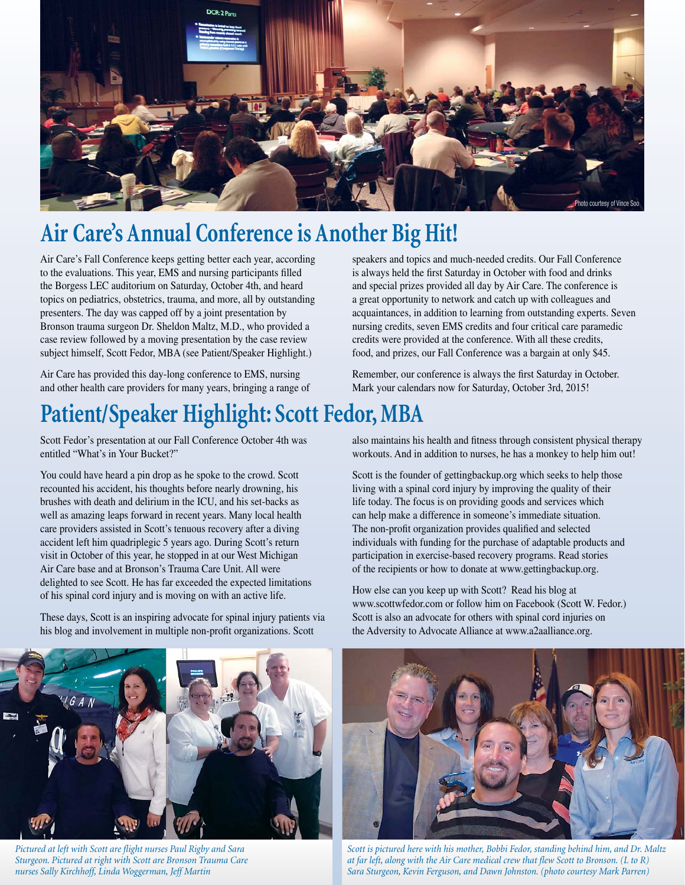

# **Air Care's Annual Conference is Another Big Hit!**

Air Care's Fall Conference keeps getting better each year, according to the evaluations. This year, EMS and nursing participants filled the Borgess LEC auditorium on Saturday, October 4th, and heard topics on pediatrics, obstetrics, trauma, and more, all by outstanding presenters. The day was capped off by a joint presentation by Bronson trauma surgeon Dr. Sheldon Maltz, M.D., who provided a case review followed by a moving presentation by the case review subject himself, Scott Fedor, MBA (see Patient/Speaker Highlight.)

Air Care has provided this day-long conference to EMS, nursing and other health care providers for many years, bringing a range of speakers and topics and much-needed credits. Our Fall Conference is always held the first Saturday in October with food and drinks and special prizes provided all day by Air Care. The conference is a great opportunity to network and catch up with colleagues and acquaintances, in addition to learning from outstanding experts. Seven nursing credits, seven EMS credits and four critical care paramedic credits were provided at the conference. With all these credits, food, and prizes, our Fall Conference was a bargain at only \$45.

Remember, our conference is always the first Saturday in October. Mark your calendars now for Saturday, October 3rd, 2015!

## **Patient/Speaker Highlight: Scott Fedor, MBA**

Scott Fedor's presentation at our Fall Conference October 4th was entitled "What's in Your Bucket?"

You could have heard a pin drop as he spoke to the crowd. Scott recounted his accident, his thoughts before nearly drowning, his brushes with death and delirium in the ICU, and his set-backs as well as amazing leaps forward in recent years. Many local health care providers assisted in Scott's tenuous recovery after a diving accident left him quadriplegic 5 years ago. During Scott's return visit in October of this year, he stopped in at our West Michigan Air Care base and at Bronson's Trauma Care Unit. All were delighted to see Scott. He has far exceeded the expected limitations of his spinal cord injury and is moving on with an active life.

These days, Scott is an inspiring advocate for spinal injury patients via his blog and involvement in multiple non-profit organizations. Scott

also maintains his health and fitness through consistent physical therapy workouts. And in addition to nurses, he has a monkey to help him out!

Scott is the founder of gettingbackup.org which seeks to help those living with a spinal cord injury by improving the quality of their life today. The focus is on providing goods and services which can help make a difference in someone's immediate situation. The non-profit organization provides qualified and selected individuals with funding for the purchase of adaptable products and participation in exercise-based recovery programs. Read stories of the recipients or how to donate at www.gettingbackup.org.

How else can you keep up with Scott? Read his blog at www.scottwfedor.com or follow him on Facebook (Scott W. Fedor.) Scott is also an advocate for others with spinal cord injuries on the Adversity to Advocate Alliance at www.a2aalliance.org.



*Pictured at left with Scott are fl ight nurses Paul Rigby and Sara Sturgeon. Pictured at right with Scott are Bronson Trauma Care nurses Sally Kirchhoff, Linda Woggerman, Jeff Martin*



*Scott is pictured here with his mother, Bobbi Fedor, standing behind him, and Dr. Maltz at far left, along with the Air Care medical crew that flew Scott to Bronson. (L to R) Sara Sturgeon, Kevin Ferguson, and Dawn Johnston. (photo courtesy Mark Parren)*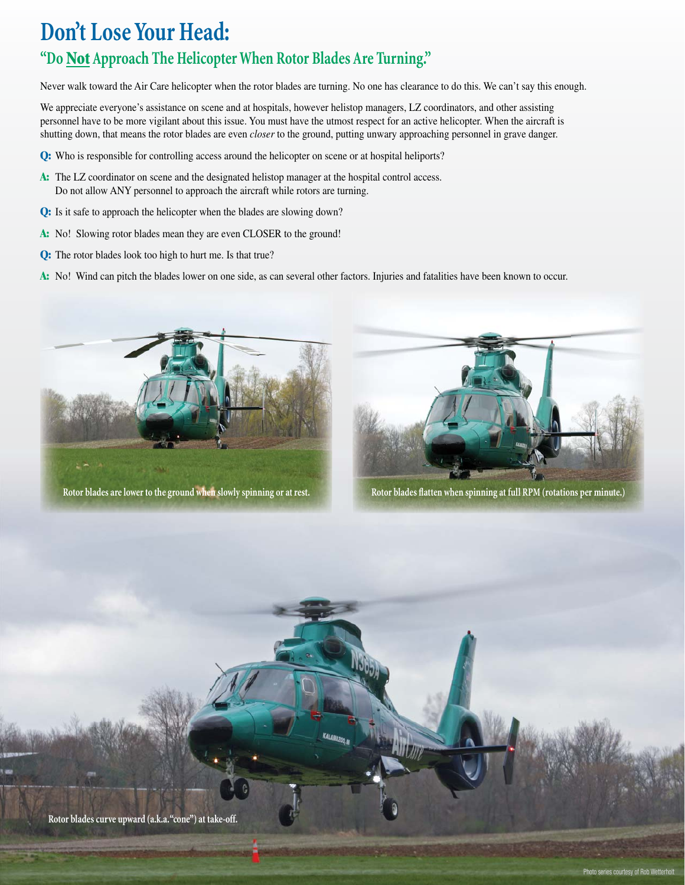## **Don't Lose Your Head:**

### **"Do Not Approach The Helicopter When Rotor Blades Are Turning."**

Never walk toward the Air Care helicopter when the rotor blades are turning. No one has clearance to do this. We can't say this enough.

We appreciate everyone's assistance on scene and at hospitals, however helistop managers, LZ coordinators, and other assisting personnel have to be more vigilant about this issue. You must have the utmost respect for an active helicopter. When the aircraft is shutting down, that means the rotor blades are even *closer* to the ground, putting unwary approaching personnel in grave danger.

- **Q:** Who is responsible for controlling access around the helicopter on scene or at hospital heliports?
- A: The LZ coordinator on scene and the designated helistop manager at the hospital control access. Do not allow ANY personnel to approach the aircraft while rotors are turning.
- **Q:** Is it safe to approach the helicopter when the blades are slowing down?
- **A:** No! Slowing rotor blades mean they are even CLOSER to the ground!
- **Q:** The rotor blades look too high to hurt me. Is that true?
- **A:** No! Wind can pitch the blades lower on one side, as can several other factors. Injuries and fatalities have been known to occur.

KALAMAZOO, IN





Rotor blades are lower to the ground when slowly spinning or at rest. **Rotor blades flatten when spinning at full RPM** (rotations per minute.)